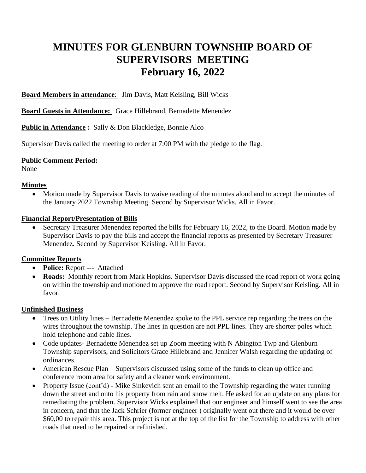# **MINUTES FOR GLENBURN TOWNSHIP BOARD OF SUPERVISORS MEETING February 16, 2022**

**Board Members in attendance**: Jim Davis, Matt Keisling, Bill Wicks

**Board Guests in Attendance:** Grace Hillebrand, Bernadette Menendez

**Public in Attendance :** Sally & Don Blackledge, Bonnie Alco

Supervisor Davis called the meeting to order at 7:00 PM with the pledge to the flag.

#### **Public Comment Period:**

None

#### **Minutes**

• Motion made by Supervisor Davis to waive reading of the minutes aloud and to accept the minutes of the January 2022 Township Meeting. Second by Supervisor Wicks. All in Favor.

#### **Financial Report/Presentation of Bills**

• Secretary Treasurer Menendez reported the bills for February 16, 2022, to the Board. Motion made by Supervisor Davis to pay the bills and accept the financial reports as presented by Secretary Treasurer Menendez. Second by Supervisor Keisling. All in Favor.

## **Committee Reports**

- **Police:** Report --- Attached
- **Roads:** Monthly report from Mark Hopkins. Supervisor Davis discussed the road report of work going on within the township and motioned to approve the road report. Second by Supervisor Keisling. All in favor.

## **Unfinished Business**

- Trees on Utility lines Bernadette Menendez spoke to the PPL service rep regarding the trees on the wires throughout the township. The lines in question are not PPL lines. They are shorter poles which hold telephone and cable lines.
- Code updates-Bernadette Menendez set up Zoom meeting with N Abington Twp and Glenburn Township supervisors, and Solicitors Grace Hillebrand and Jennifer Walsh regarding the updating of ordinances.
- American Rescue Plan Supervisors discussed using some of the funds to clean up office and conference room area for safety and a cleaner work environment.
- Property Issue (cont'd) Mike Sinkevich sent an email to the Township regarding the water running down the street and onto his property from rain and snow melt. He asked for an update on any plans for remediating the problem. Supervisor Wicks explained that our engineer and himself went to see the area in concern, and that the Jack Schrier (former engineer ) originally went out there and it would be over \$60,00 to repair this area. This project is not at the top of the list for the Township to address with other roads that need to be repaired or refinished.